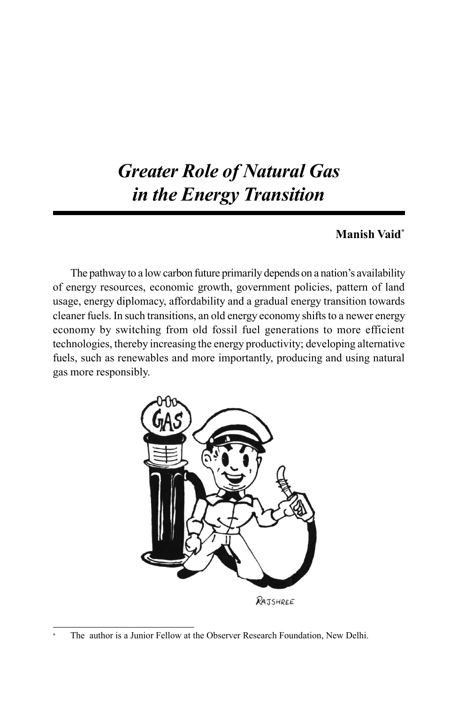# *Greater Role of Natural Gas in the Energy Transition*

## **Manish Vaid\***

The pathway to a low carbon future primarily depends on a nation's availability of energy resources, economic growth, government policies, pattern of land usage, energy diplomacy, affordability and a gradual energy transition towards cleaner fuels. In such transitions, an old energy economy shifts to a newer energy economy by switching from old fossil fuel generations to more efficient technologies, thereby increasing the energy productivity; developing alternative fuels, such as renewables and more importantly, producing and using natural gas more responsibly.



The author is a Junior Fellow at the Observer Research Foundation, New Delhi.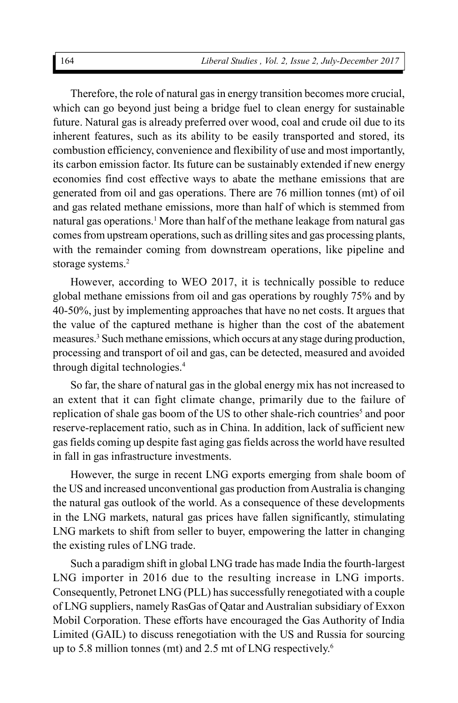Therefore, the role of natural gas in energy transition becomes more crucial, which can go beyond just being a bridge fuel to clean energy for sustainable future. Natural gas is already preferred over wood, coal and crude oil due to its inherent features, such as its ability to be easily transported and stored, its combustion efficiency, convenience and flexibility of use and most importantly, its carbon emission factor. Its future can be sustainably extended if new energy economies find cost effective ways to abate the methane emissions that are generated from oil and gas operations. There are 76 million tonnes (mt) of oil and gas related methane emissions, more than half of which is stemmed from natural gas operations.<sup>1</sup> More than half of the methane leakage from natural gas comes from upstream operations, such as drilling sites and gas processing plants, with the remainder coming from downstream operations, like pipeline and storage systems.<sup>2</sup>

However, according to WEO 2017, it is technically possible to reduce global methane emissions from oil and gas operations by roughly 75% and by 40-50%, just by implementing approaches that have no net costs. It argues that the value of the captured methane is higher than the cost of the abatement measures.<sup>3</sup> Such methane emissions, which occurs at any stage during production, processing and transport of oil and gas, can be detected, measured and avoided through digital technologies.<sup>4</sup>

So far, the share of natural gas in the global energy mix has not increased to an extent that it can fight climate change, primarily due to the failure of replication of shale gas boom of the US to other shale-rich countries<sup>5</sup> and poor reserve-replacement ratio, such as in China. In addition, lack of sufficient new gas fields coming up despite fast aging gas fields across the world have resulted in fall in gas infrastructure investments.

However, the surge in recent LNG exports emerging from shale boom of the US and increased unconventional gas production from Australia is changing the natural gas outlook of the world. As a consequence of these developments in the LNG markets, natural gas prices have fallen significantly, stimulating LNG markets to shift from seller to buyer, empowering the latter in changing the existing rules of LNG trade.

Such a paradigm shift in global LNG trade has made India the fourth-largest LNG importer in 2016 due to the resulting increase in LNG imports. Consequently, Petronet LNG (PLL) has successfully renegotiated with a couple of LNG suppliers, namely RasGas of Qatar and Australian subsidiary of Exxon Mobil Corporation. These efforts have encouraged the Gas Authority of India Limited (GAIL) to discuss renegotiation with the US and Russia for sourcing up to 5.8 million tonnes (mt) and 2.5 mt of LNG respectively.<sup>6</sup>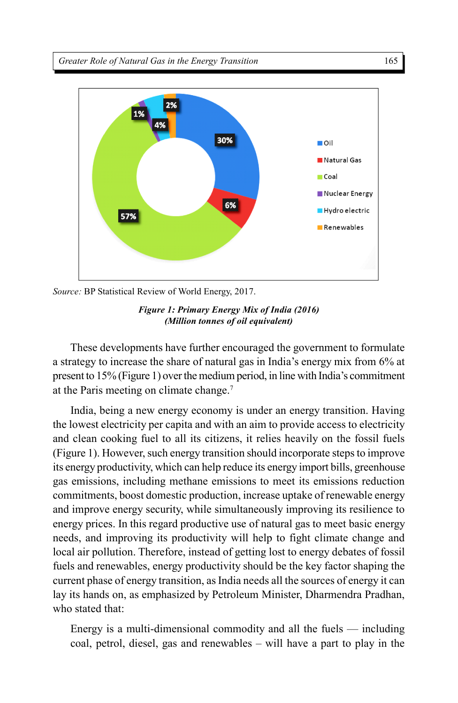

*Source:* BP Statistical Review of World Energy, 2017.



These developments have further encouraged the government to formulate a strategy to increase the share of natural gas in India's energy mix from 6% at present to 15% (Figure 1) over the medium period, in line with India's commitment at the Paris meeting on climate change.<sup>7</sup>

India, being a new energy economy is under an energy transition. Having the lowest electricity per capita and with an aim to provide access to electricity and clean cooking fuel to all its citizens, it relies heavily on the fossil fuels (Figure 1). However, such energy transition should incorporate steps to improve its energy productivity, which can help reduce its energy import bills, greenhouse gas emissions, including methane emissions to meet its emissions reduction commitments, boost domestic production, increase uptake of renewable energy and improve energy security, while simultaneously improving its resilience to energy prices. In this regard productive use of natural gas to meet basic energy needs, and improving its productivity will help to fight climate change and local air pollution. Therefore, instead of getting lost to energy debates of fossil fuels and renewables, energy productivity should be the key factor shaping the current phase of energy transition, as India needs all the sources of energy it can lay its hands on, as emphasized by Petroleum Minister, Dharmendra Pradhan, who stated that:

Energy is a multi-dimensional commodity and all the fuels — including coal, petrol, diesel, gas and renewables – will have a part to play in the

165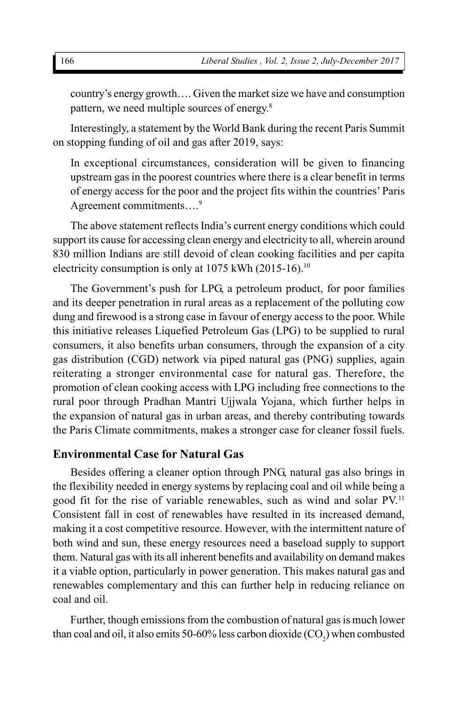country's energy growth…. Given the market size we have and consumption pattern, we need multiple sources of energy.<sup>8</sup>

Interestingly, a statement by the World Bank during the recent Paris Summit on stopping funding of oil and gas after 2019, says:

In exceptional circumstances, consideration will be given to financing upstream gas in the poorest countries where there is a clear benefit in terms of energy access for the poor and the project fits within the countries' Paris Agreement commitments....<sup>9</sup>

The above statement reflects India's current energy conditions which could support its cause for accessing clean energy and electricity to all, wherein around 830 million Indians are still devoid of clean cooking facilities and per capita electricity consumption is only at 1075 kWh (2015-16).<sup>10</sup>

The Government's push for LPG, a petroleum product, for poor families and its deeper penetration in rural areas as a replacement of the polluting cow dung and firewood is a strong case in favour of energy access to the poor. While this initiative releases Liquefied Petroleum Gas (LPG) to be supplied to rural consumers, it also benefits urban consumers, through the expansion of a city gas distribution (CGD) network via piped natural gas (PNG) supplies, again reiterating a stronger environmental case for natural gas. Therefore, the promotion of clean cooking access with LPG including free connections to the rural poor through Pradhan Mantri Ujjwala Yojana, which further helps in the expansion of natural gas in urban areas, and thereby contributing towards the Paris Climate commitments, makes a stronger case for cleaner fossil fuels.

## **Environmental Case for Natural Gas**

Besides offering a cleaner option through PNG, natural gas also brings in the flexibility needed in energy systems by replacing coal and oil while being a good fit for the rise of variable renewables, such as wind and solar PV.<sup>11</sup> Consistent fall in cost of renewables have resulted in its increased demand, making it a cost competitive resource. However, with the intermittent nature of both wind and sun, these energy resources need a baseload supply to support them. Natural gas with its all inherent benefits and availability on demand makes it a viable option, particularly in power generation. This makes natural gas and renewables complementary and this can further help in reducing reliance on coal and oil.

Further, though emissions from the combustion of natural gas is much lower than coal and oil, it also emits 50-60% less carbon dioxide (CO<sub>2</sub>) when combusted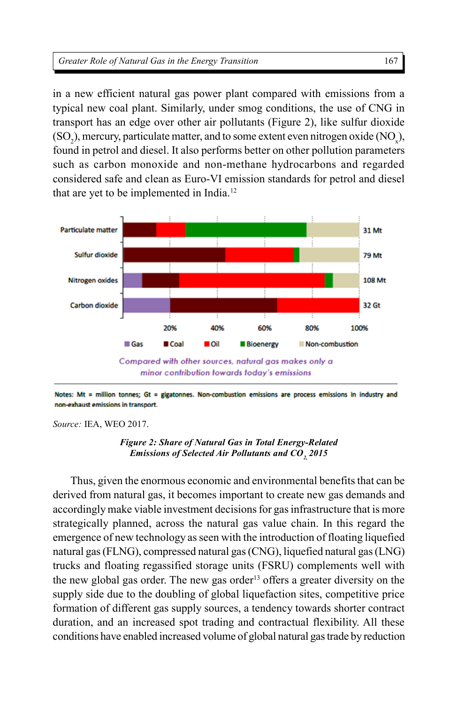in a new efficient natural gas power plant compared with emissions from a typical new coal plant. Similarly, under smog conditions, the use of CNG in transport has an edge over other air pollutants (Figure 2), like sulfur dioxide  $(SO_2)$ , mercury, particulate matter, and to some extent even nitrogen oxide  $(NO_x)$ , found in petrol and diesel. It also performs better on other pollution parameters such as carbon monoxide and non-methane hydrocarbons and regarded considered safe and clean as Euro-VI emission standards for petrol and diesel that are yet to be implemented in India.<sup>12</sup>





*Source:* IEA, WEO 2017.



Thus, given the enormous economic and environmental benefits that can be derived from natural gas, it becomes important to create new gas demands and accordingly make viable investment decisions for gas infrastructure that is more strategically planned, across the natural gas value chain. In this regard the emergence of new technology as seen with the introduction of floating liquefied natural gas (FLNG), compressed natural gas (CNG), liquefied natural gas (LNG) trucks and floating regassified storage units (FSRU) complements well with the new global gas order. The new gas order<sup>13</sup> offers a greater diversity on the supply side due to the doubling of global liquefaction sites, competitive price formation of different gas supply sources, a tendency towards shorter contract duration, and an increased spot trading and contractual flexibility. All these conditions have enabled increased volume of global natural gas trade by reduction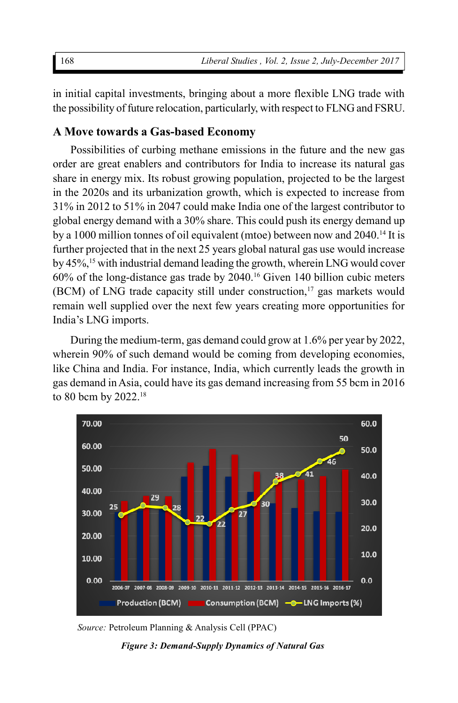in initial capital investments, bringing about a more flexible LNG trade with the possibility of future relocation, particularly, with respect to FLNG and FSRU.

## **A Move towards a Gas-based Economy**

Possibilities of curbing methane emissions in the future and the new gas order are great enablers and contributors for India to increase its natural gas share in energy mix. Its robust growing population, projected to be the largest in the 2020s and its urbanization growth, which is expected to increase from 31% in 2012 to 51% in 2047 could make India one of the largest contributor to global energy demand with a 30% share. This could push its energy demand up by a 1000 million tonnes of oil equivalent (mtoe) between now and 2040.<sup>14</sup> It is further projected that in the next 25 years global natural gas use would increase by 45%,<sup>15</sup> with industrial demand leading the growth, wherein LNG would cover 60% of the long-distance gas trade by 2040.<sup>16</sup> Given 140 billion cubic meters (BCM) of LNG trade capacity still under construction, $17$  gas markets would remain well supplied over the next few years creating more opportunities for India's LNG imports.

During the medium-term, gas demand could grow at 1.6% per year by 2022, wherein 90% of such demand would be coming from developing economies, like China and India. For instance, India, which currently leads the growth in gas demand in Asia, could have its gas demand increasing from 55 bcm in 2016 to 80 bcm by 2022.<sup>18</sup>



*Source:* Petroleum Planning & Analysis Cell (PPAC)

*Figure 3: Demand-Supply Dynamics of Natural Gas*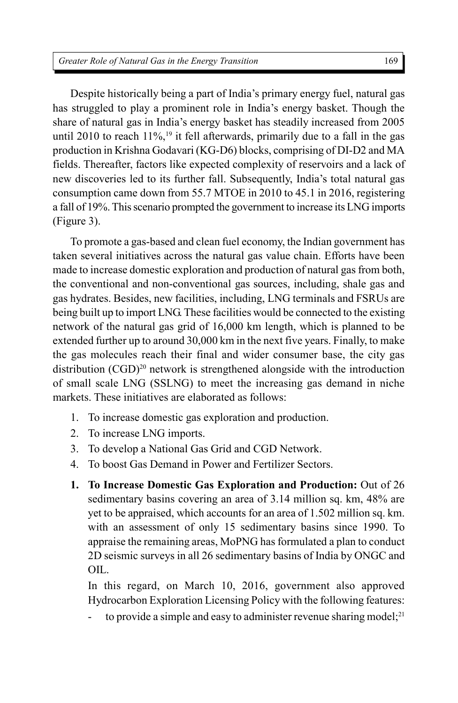Despite historically being a part of India's primary energy fuel, natural gas has struggled to play a prominent role in India's energy basket. Though the share of natural gas in India's energy basket has steadily increased from 2005 until 2010 to reach  $11\%$ ,<sup>19</sup> it fell afterwards, primarily due to a fall in the gas production in Krishna Godavari (KG-D6) blocks, comprising of DI-D2 and MA fields. Thereafter, factors like expected complexity of reservoirs and a lack of new discoveries led to its further fall. Subsequently, India's total natural gas consumption came down from 55.7 MTOE in 2010 to 45.1 in 2016, registering a fall of 19%. This scenario prompted the government to increase its LNG imports (Figure 3).

To promote a gas-based and clean fuel economy, the Indian government has taken several initiatives across the natural gas value chain. Efforts have been made to increase domestic exploration and production of natural gas from both, the conventional and non-conventional gas sources, including, shale gas and gas hydrates. Besides, new facilities, including, LNG terminals and FSRUs are being built up to import LNG. These facilities would be connected to the existing network of the natural gas grid of 16,000 km length, which is planned to be extended further up to around 30,000 km in the next five years. Finally, to make the gas molecules reach their final and wider consumer base, the city gas distribution (CGD)<sup>20</sup> network is strengthened alongside with the introduction of small scale LNG (SSLNG) to meet the increasing gas demand in niche markets. These initiatives are elaborated as follows:

- 1. To increase domestic gas exploration and production.
- 2. To increase LNG imports.
- 3. To develop a National Gas Grid and CGD Network.
- 4. To boost Gas Demand in Power and Fertilizer Sectors.
- **1. To Increase Domestic Gas Exploration and Production:** Out of 26 sedimentary basins covering an area of 3.14 million sq. km, 48% are yet to be appraised, which accounts for an area of 1.502 million sq. km. with an assessment of only 15 sedimentary basins since 1990. To appraise the remaining areas, MoPNG has formulated a plan to conduct 2D seismic surveys in all 26 sedimentary basins of India by ONGC and OIL.

In this regard, on March 10, 2016, government also approved Hydrocarbon Exploration Licensing Policy with the following features:

to provide a simple and easy to administer revenue sharing model; $^{21}$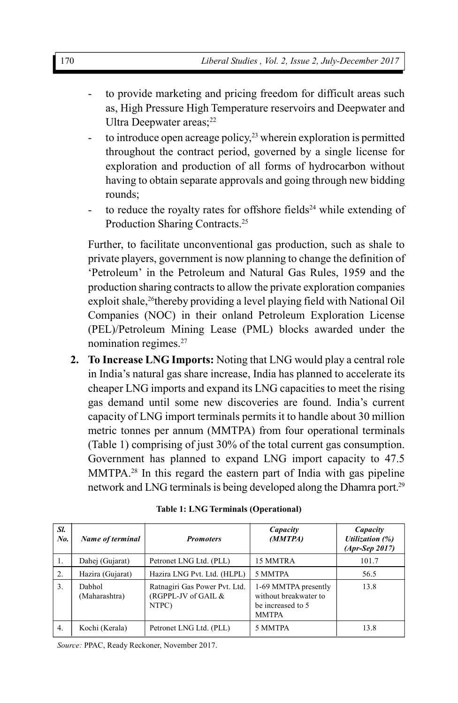- to provide marketing and pricing freedom for difficult areas such as, High Pressure High Temperature reservoirs and Deepwater and Ultra Deepwater  $\arccos^{22}$
- to introduce open acreage policy, $23$  wherein exploration is permitted throughout the contract period, governed by a single license for exploration and production of all forms of hydrocarbon without having to obtain separate approvals and going through new bidding rounds;
- to reduce the royalty rates for offshore fields<sup>24</sup> while extending of Production Sharing Contracts.<sup>25</sup>

Further, to facilitate unconventional gas production, such as shale to private players, government is now planning to change the definition of 'Petroleum' in the Petroleum and Natural Gas Rules, 1959 and the production sharing contracts to allow the private exploration companies exploit shale,<sup>26</sup>thereby providing a level playing field with National Oil Companies (NOC) in their onland Petroleum Exploration License (PEL)/Petroleum Mining Lease (PML) blocks awarded under the nomination regimes.<sup>27</sup>

**2. To Increase LNG Imports:** Noting that LNG would play a central role in India's natural gas share increase, India has planned to accelerate its cheaper LNG imports and expand its LNG capacities to meet the rising gas demand until some new discoveries are found. India's current capacity of LNG import terminals permits it to handle about 30 million metric tonnes per annum (MMTPA) from four operational terminals (Table 1) comprising of just 30% of the total current gas consumption. Government has planned to expand LNG import capacity to 47.5 MMTPA.<sup>28</sup> In this regard the eastern part of India with gas pipeline network and LNG terminals is being developed along the Dhamra port.<sup>29</sup>

| Sl.<br>No. | Name of terminal        | <b>Promoters</b>                                              | Capacity<br>(MMTPA)                                                                | Capacity<br>Utilization (%)<br>$(Apr-Sep 2017)$ |
|------------|-------------------------|---------------------------------------------------------------|------------------------------------------------------------------------------------|-------------------------------------------------|
| 1.         | Dahej (Gujarat)         | Petronet LNG Ltd. (PLL)                                       | 15 MMTRA                                                                           | 101.7                                           |
| 2.         | Hazira (Gujarat)        | Hazira LNG Pvt. Ltd. (HLPL)                                   | 5 MMTPA                                                                            | 56.5                                            |
| 3.         | Dabhol<br>(Maharashtra) | Ratnagiri Gas Power Pvt. Ltd.<br>(RGPPL-JV of GAIL &<br>NTPC) | 1-69 MMTPA presently<br>without breakwater to<br>be increased to 5<br><b>MMTPA</b> | 13.8                                            |
| 4.         | Kochi (Kerala)          | Petronet LNG Ltd. (PLL)                                       | 5 MMTPA                                                                            | 13.8                                            |

| Table 1: LNG Terminals (Operational) |  |
|--------------------------------------|--|
|--------------------------------------|--|

*Source:* PPAC, Ready Reckoner, November 2017.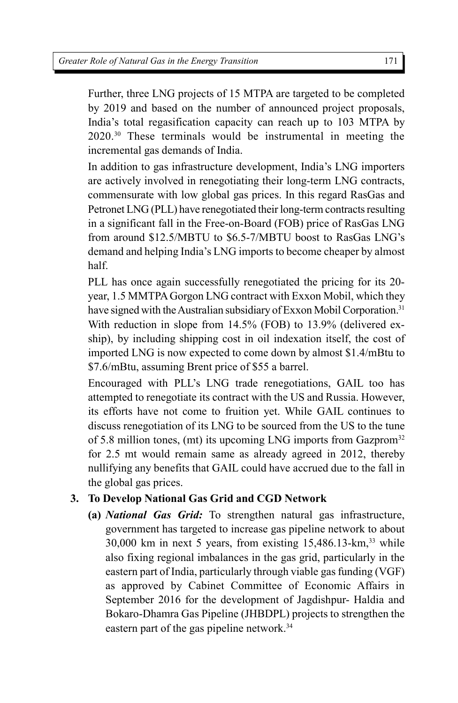Further, three LNG projects of 15 MTPA are targeted to be completed by 2019 and based on the number of announced project proposals, India's total regasification capacity can reach up to 103 MTPA by 2020.<sup>30</sup> These terminals would be instrumental in meeting the incremental gas demands of India.

In addition to gas infrastructure development, India's LNG importers are actively involved in renegotiating their long-term LNG contracts, commensurate with low global gas prices. In this regard RasGas and Petronet LNG (PLL) have renegotiated their long-term contracts resulting in a significant fall in the Free-on-Board (FOB) price of RasGas LNG from around \$12.5/MBTU to \$6.5-7/MBTU boost to RasGas LNG's demand and helping India's LNG imports to become cheaper by almost half.

PLL has once again successfully renegotiated the pricing for its 20 year, 1.5 MMTPA Gorgon LNG contract with Exxon Mobil, which they have signed with the Australian subsidiary of Exxon Mobil Corporation.<sup>31</sup> With reduction in slope from 14.5% (FOB) to 13.9% (delivered exship), by including shipping cost in oil indexation itself, the cost of imported LNG is now expected to come down by almost \$1.4/mBtu to \$7.6/mBtu, assuming Brent price of \$55 a barrel.

Encouraged with PLL's LNG trade renegotiations, GAIL too has attempted to renegotiate its contract with the US and Russia. However, its efforts have not come to fruition yet. While GAIL continues to discuss renegotiation of its LNG to be sourced from the US to the tune of 5.8 million tones, (mt) its upcoming LNG imports from Gazprom<sup>32</sup> for 2.5 mt would remain same as already agreed in 2012, thereby nullifying any benefits that GAIL could have accrued due to the fall in the global gas prices.

## **3. To Develop National Gas Grid and CGD Network**

**(a)** *National Gas Grid:* To strengthen natural gas infrastructure, government has targeted to increase gas pipeline network to about  $30,000$  km in next 5 years, from existing  $15,486.13$ -km,<sup>33</sup> while also fixing regional imbalances in the gas grid, particularly in the eastern part of India, particularly through viable gas funding (VGF) as approved by Cabinet Committee of Economic Affairs in September 2016 for the development of Jagdishpur- Haldia and Bokaro-Dhamra Gas Pipeline (JHBDPL) projects to strengthen the eastern part of the gas pipeline network.<sup>34</sup>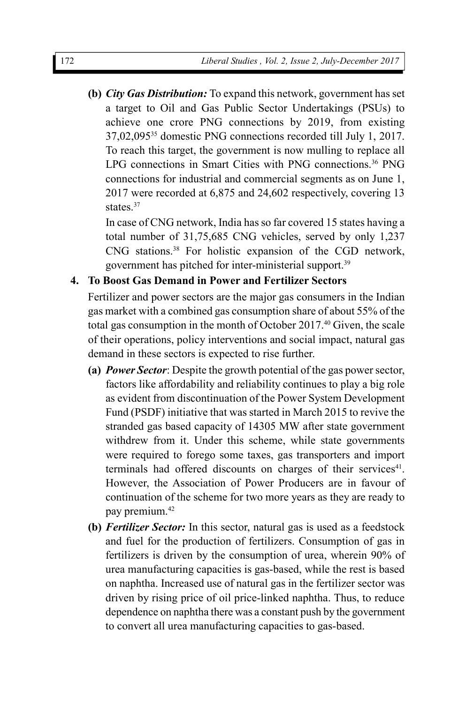**(b)** *City Gas Distribution:* To expand this network, government has set a target to Oil and Gas Public Sector Undertakings (PSUs) to achieve one crore PNG connections by 2019, from existing 37,02,095<sup>35</sup> domestic PNG connections recorded till July 1, 2017. To reach this target, the government is now mulling to replace all LPG connections in Smart Cities with PNG connections.<sup>36</sup> PNG connections for industrial and commercial segments as on June 1, 2017 were recorded at 6,875 and 24,602 respectively, covering 13 states.<sup>37</sup>

In case of CNG network, India has so far covered 15 states having a total number of 31,75,685 CNG vehicles, served by only 1,237 CNG stations.<sup>38</sup> For holistic expansion of the CGD network, government has pitched for inter-ministerial support.<sup>39</sup>

## **4. To Boost Gas Demand in Power and Fertilizer Sectors**

Fertilizer and power sectors are the major gas consumers in the Indian gas market with a combined gas consumption share of about 55% of the total gas consumption in the month of October 2017.<sup>40</sup> Given, the scale of their operations, policy interventions and social impact, natural gas demand in these sectors is expected to rise further.

- **(a)** *Power Sector*: Despite the growth potential of the gas power sector, factors like affordability and reliability continues to play a big role as evident from discontinuation of the Power System Development Fund (PSDF) initiative that was started in March 2015 to revive the stranded gas based capacity of 14305 MW after state government withdrew from it. Under this scheme, while state governments were required to forego some taxes, gas transporters and import terminals had offered discounts on charges of their services<sup>41</sup>. However, the Association of Power Producers are in favour of continuation of the scheme for two more years as they are ready to pay premium.<sup>42</sup>
- **(b)** *Fertilizer Sector:* In this sector, natural gas is used as a feedstock and fuel for the production of fertilizers. Consumption of gas in fertilizers is driven by the consumption of urea, wherein 90% of urea manufacturing capacities is gas-based, while the rest is based on naphtha. Increased use of natural gas in the fertilizer sector was driven by rising price of oil price-linked naphtha. Thus, to reduce dependence on naphtha there was a constant push by the government to convert all urea manufacturing capacities to gas-based.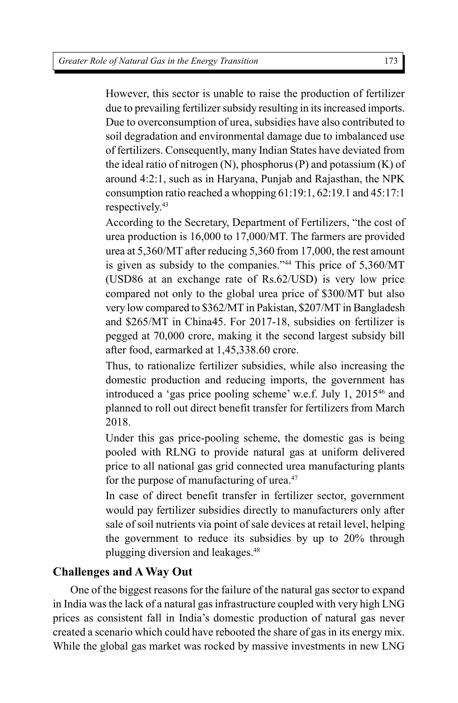However, this sector is unable to raise the production of fertilizer due to prevailing fertilizer subsidy resulting in its increased imports. Due to overconsumption of urea, subsidies have also contributed to soil degradation and environmental damage due to imbalanced use of fertilizers. Consequently, many Indian States have deviated from the ideal ratio of nitrogen  $(N)$ , phosphorus  $(P)$  and potassium  $(K)$  of around 4:2:1, such as in Haryana, Punjab and Rajasthan, the NPK consumption ratio reached a whopping 61:19:1, 62:19.1 and 45:17:1 respectively.<sup>43</sup>

According to the Secretary, Department of Fertilizers, "the cost of urea production is 16,000 to 17,000/MT. The farmers are provided urea at 5,360/MT after reducing 5,360 from 17,000, the rest amount is given as subsidy to the companies."<sup>44</sup> This price of 5,360/MT (USD86 at an exchange rate of Rs.62/USD) is very low price compared not only to the global urea price of \$300/MT but also very low compared to \$362/MT in Pakistan, \$207/MT in Bangladesh and \$265/MT in China45. For 2017-18, subsidies on fertilizer is pegged at 70,000 crore, making it the second largest subsidy bill after food, earmarked at 1,45,338.60 crore.

Thus, to rationalize fertilizer subsidies, while also increasing the domestic production and reducing imports, the government has introduced a 'gas price pooling scheme' w.e.f. July 1, 2015<sup>46</sup> and planned to roll out direct benefit transfer for fertilizers from March 2018.

Under this gas price-pooling scheme, the domestic gas is being pooled with RLNG to provide natural gas at uniform delivered price to all national gas grid connected urea manufacturing plants for the purpose of manufacturing of urea.<sup>47</sup>

In case of direct benefit transfer in fertilizer sector, government would pay fertilizer subsidies directly to manufacturers only after sale of soil nutrients via point of sale devices at retail level, helping the government to reduce its subsidies by up to 20% through plugging diversion and leakages.<sup>48</sup>

## **Challenges and A Way Out**

One of the biggest reasons for the failure of the natural gas sector to expand in India was the lack of a natural gas infrastructure coupled with very high LNG prices as consistent fall in India's domestic production of natural gas never created a scenario which could have rebooted the share of gas in its energy mix. While the global gas market was rocked by massive investments in new LNG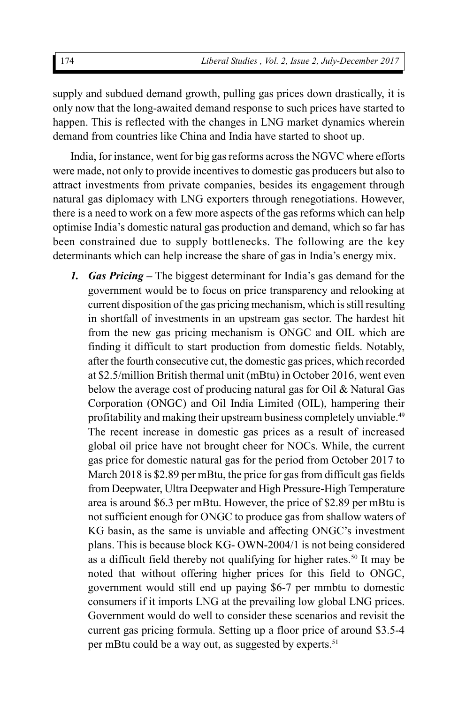supply and subdued demand growth, pulling gas prices down drastically, it is only now that the long-awaited demand response to such prices have started to happen. This is reflected with the changes in LNG market dynamics wherein demand from countries like China and India have started to shoot up.

India, for instance, went for big gas reforms across the NGVC where efforts were made, not only to provide incentives to domestic gas producers but also to attract investments from private companies, besides its engagement through natural gas diplomacy with LNG exporters through renegotiations. However, there is a need to work on a few more aspects of the gas reforms which can help optimise India's domestic natural gas production and demand, which so far has been constrained due to supply bottlenecks. The following are the key determinants which can help increase the share of gas in India's energy mix.

*1. Gas Pricing* **–** The biggest determinant for India's gas demand for the government would be to focus on price transparency and relooking at current disposition of the gas pricing mechanism, which is still resulting in shortfall of investments in an upstream gas sector. The hardest hit from the new gas pricing mechanism is ONGC and OIL which are finding it difficult to start production from domestic fields. Notably, after the fourth consecutive cut, the domestic gas prices, which recorded at \$2.5/million British thermal unit (mBtu) in October 2016, went even below the average cost of producing natural gas for Oil & Natural Gas Corporation (ONGC) and Oil India Limited (OIL), hampering their profitability and making their upstream business completely unviable.<sup>49</sup> The recent increase in domestic gas prices as a result of increased global oil price have not brought cheer for NOCs. While, the current gas price for domestic natural gas for the period from October 2017 to March 2018 is \$2.89 per mBtu, the price for gas from difficult gas fields from Deepwater, Ultra Deepwater and High Pressure-High Temperature area is around \$6.3 per mBtu. However, the price of \$2.89 per mBtu is not sufficient enough for ONGC to produce gas from shallow waters of KG basin, as the same is unviable and affecting ONGC's investment plans. This is because block KG- OWN-2004/1 is not being considered as a difficult field thereby not qualifying for higher rates.<sup>50</sup> It may be noted that without offering higher prices for this field to ONGC, government would still end up paying \$6-7 per mmbtu to domestic consumers if it imports LNG at the prevailing low global LNG prices. Government would do well to consider these scenarios and revisit the current gas pricing formula. Setting up a floor price of around \$3.5-4 per mBtu could be a way out, as suggested by experts.<sup>51</sup>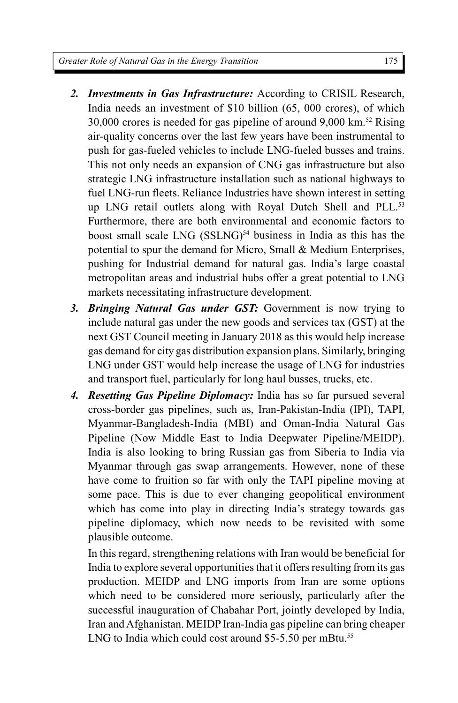- *2. Investments in Gas Infrastructure:* According to CRISIL Research, India needs an investment of \$10 billion (65, 000 crores), of which 30,000 crores is needed for gas pipeline of around 9,000 km.<sup>52</sup> Rising air-quality concerns over the last few years have been instrumental to push for gas-fueled vehicles to include LNG-fueled busses and trains. This not only needs an expansion of CNG gas infrastructure but also strategic LNG infrastructure installation such as national highways to fuel LNG-run fleets. Reliance Industries have shown interest in setting up LNG retail outlets along with Royal Dutch Shell and PLL.<sup>53</sup> Furthermore, there are both environmental and economic factors to boost small scale LNG (SSLNG)<sup>54</sup> business in India as this has the potential to spur the demand for Micro, Small & Medium Enterprises, pushing for Industrial demand for natural gas. India's large coastal metropolitan areas and industrial hubs offer a great potential to LNG markets necessitating infrastructure development.
- *3. Bringing Natural Gas under GST:* Government is now trying to include natural gas under the new goods and services tax (GST) at the next GST Council meeting in January 2018 as this would help increase gas demand for city gas distribution expansion plans. Similarly, bringing LNG under GST would help increase the usage of LNG for industries and transport fuel, particularly for long haul busses, trucks, etc.
- *4. Resetting Gas Pipeline Diplomacy:* India has so far pursued several cross-border gas pipelines, such as, Iran-Pakistan-India (IPI), TAPI, Myanmar-Bangladesh-India (MBI) and Oman-India Natural Gas Pipeline (Now Middle East to India Deepwater Pipeline/MEIDP). India is also looking to bring Russian gas from Siberia to India via Myanmar through gas swap arrangements. However, none of these have come to fruition so far with only the TAPI pipeline moving at some pace. This is due to ever changing geopolitical environment which has come into play in directing India's strategy towards gas pipeline diplomacy, which now needs to be revisited with some plausible outcome.

In this regard, strengthening relations with Iran would be beneficial for India to explore several opportunities that it offers resulting from its gas production. MEIDP and LNG imports from Iran are some options which need to be considered more seriously, particularly after the successful inauguration of Chabahar Port, jointly developed by India, Iran and Afghanistan. MEIDP Iran-India gas pipeline can bring cheaper LNG to India which could cost around \$5-5.50 per mBtu.<sup>55</sup>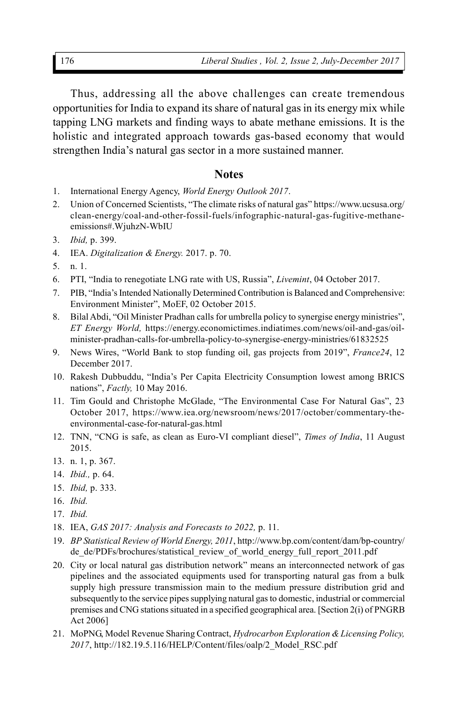Thus, addressing all the above challenges can create tremendous opportunities for India to expand its share of natural gas in its energy mix while tapping LNG markets and finding ways to abate methane emissions. It is the holistic and integrated approach towards gas-based economy that would strengthen India's natural gas sector in a more sustained manner.

#### **Notes**

- 1. International Energy Agency, *World Energy Outlook 2017*.
- 2. Union of Concerned Scientists, "The climate risks of natural gas" https://www.ucsusa.org/ clean-energy/coal-and-other-fossil-fuels/infographic-natural-gas-fugitive-methaneemissions#.WjuhzN-WbIU
- 3. *Ibid,* p. 399.
- 4. IEA. *Digitalization & Energy.* 2017. p. 70.
- 5. n. 1.
- 6. PTI, "India to renegotiate LNG rate with US, Russia", *Livemint*, 04 October 2017.
- 7. PIB, "India's Intended Nationally Determined Contribution is Balanced and Comprehensive: Environment Minister", MoEF, 02 October 2015.
- 8. Bilal Abdi, "Oil Minister Pradhan calls for umbrella policy to synergise energy ministries", *ET Energy World,* https://energy.economictimes.indiatimes.com/news/oil-and-gas/oilminister-pradhan-calls-for-umbrella-policy-to-synergise-energy-ministries/61832525
- 9. News Wires, "World Bank to stop funding oil, gas projects from 2019", *France24*, 12 December 2017.
- 10. Rakesh Dubbuddu, "India's Per Capita Electricity Consumption lowest among BRICS nations", *Factly,* 10 May 2016.
- 11. Tim Gould and Christophe McGlade, "The Environmental Case For Natural Gas", 23 October 2017, https://www.iea.org/newsroom/news/2017/october/commentary-theenvironmental-case-for-natural-gas.html
- 12. TNN, "CNG is safe, as clean as Euro-VI compliant diesel", *Times of India*, 11 August 2015.
- 13. n. 1, p. 367.
- 14. *Ibid.,* p. 64.
- 15. *Ibid,* p. 333.
- 16. *Ibid.*
- 17. *Ibid.*
- 18. IEA, *GAS 2017: Analysis and Forecasts to 2022,* p. 11.
- 19. *BP Statistical Review of World Energy, 2011*, http://www.bp.com/content/dam/bp-country/ de\_de/PDFs/brochures/statistical\_review\_of\_world\_energy\_full\_report\_2011.pdf
- 20. City or local natural gas distribution network" means an interconnected network of gas pipelines and the associated equipments used for transporting natural gas from a bulk supply high pressure transmission main to the medium pressure distribution grid and subsequently to the service pipes supplying natural gas to domestic, industrial or commercial premises and CNG stations situated in a specified geographical area. [Section 2(i) of PNGRB Act 2006]
- 21. MoPNG, Model Revenue Sharing Contract, *Hydrocarbon Exploration & Licensing Policy, 2017*, http://182.19.5.116/HELP/Content/files/oalp/2\_Model\_RSC.pdf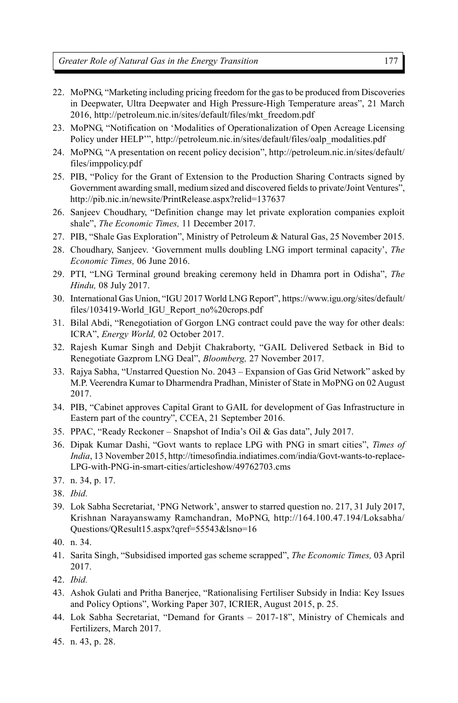*Greater Role of Natural Gas in the Energy Transition*

- 22. MoPNG, "Marketing including pricing freedom for the gas to be produced from Discoveries in Deepwater, Ultra Deepwater and High Pressure-High Temperature areas", 21 March 2016, http://petroleum.nic.in/sites/default/files/mkt\_freedom.pdf
- 23. MoPNG, "Notification on 'Modalities of Operationalization of Open Acreage Licensing Policy under HELP'", http://petroleum.nic.in/sites/default/files/oalp\_modalities.pdf
- 24. MoPNG, "A presentation on recent policy decision", http://petroleum.nic.in/sites/default/ files/imppolicy.pdf
- 25. PIB, "Policy for the Grant of Extension to the Production Sharing Contracts signed by Government awarding small, medium sized and discovered fields to private/Joint Ventures", http://pib.nic.in/newsite/PrintRelease.aspx?relid=137637
- 26. Sanjeev Choudhary, "Definition change may let private exploration companies exploit shale", *The Economic Times,* 11 December 2017.
- 27. PIB, "Shale Gas Exploration", Ministry of Petroleum & Natural Gas, 25 November 2015.
- 28. Choudhary, Sanjeev. 'Government mulls doubling LNG import terminal capacity', *The Economic Times,* 06 June 2016.
- 29. PTI, "LNG Terminal ground breaking ceremony held in Dhamra port in Odisha", *The Hindu,* 08 July 2017.
- 30. International Gas Union, "IGU 2017 World LNG Report", https://www.igu.org/sites/default/ files/103419-World\_IGU\_Report\_no%20crops.pdf
- 31. Bilal Abdi, "Renegotiation of Gorgon LNG contract could pave the way for other deals: ICRA", *Energy World,* 02 October 2017.
- 32. Rajesh Kumar Singh and Debjit Chakraborty, "GAIL Delivered Setback in Bid to Renegotiate Gazprom LNG Deal", *Bloomberg,* 27 November 2017.
- 33. Rajya Sabha, "Unstarred Question No. 2043 Expansion of Gas Grid Network" asked by M.P. Veerendra Kumar to Dharmendra Pradhan, Minister of State in MoPNG on 02 August 2017.
- 34. PIB, "Cabinet approves Capital Grant to GAIL for development of Gas Infrastructure in Eastern part of the country", CCEA, 21 September 2016.
- 35. PPAC, "Ready Reckoner Snapshot of India's Oil & Gas data", July 2017.
- 36. Dipak Kumar Dashi, "Govt wants to replace LPG with PNG in smart cities", *Times of India*, 13 November 2015, http://timesofindia.indiatimes.com/india/Govt-wants-to-replace-LPG-with-PNG-in-smart-cities/articleshow/49762703.cms
- 37. n. 34, p. 17.
- 38. *Ibid.*
- 39. Lok Sabha Secretariat, 'PNG Network', answer to starred question no. 217, 31 July 2017, Krishnan Narayanswamy Ramchandran, MoPNG, http://164.100.47.194/Loksabha/ Questions/QResult15.aspx?qref=55543&lsno=16
- 40. n. 34.
- 41. Sarita Singh, "Subsidised imported gas scheme scrapped", *The Economic Times,* 03 April 2017.
- 42. *Ibid.*
- 43. Ashok Gulati and Pritha Banerjee, "Rationalising Fertiliser Subsidy in India: Key Issues and Policy Options", Working Paper 307, ICRIER, August 2015, p. 25.
- 44. Lok Sabha Secretariat, "Demand for Grants 2017-18", Ministry of Chemicals and Fertilizers, March 2017.
- 45. n. 43, p. 28.